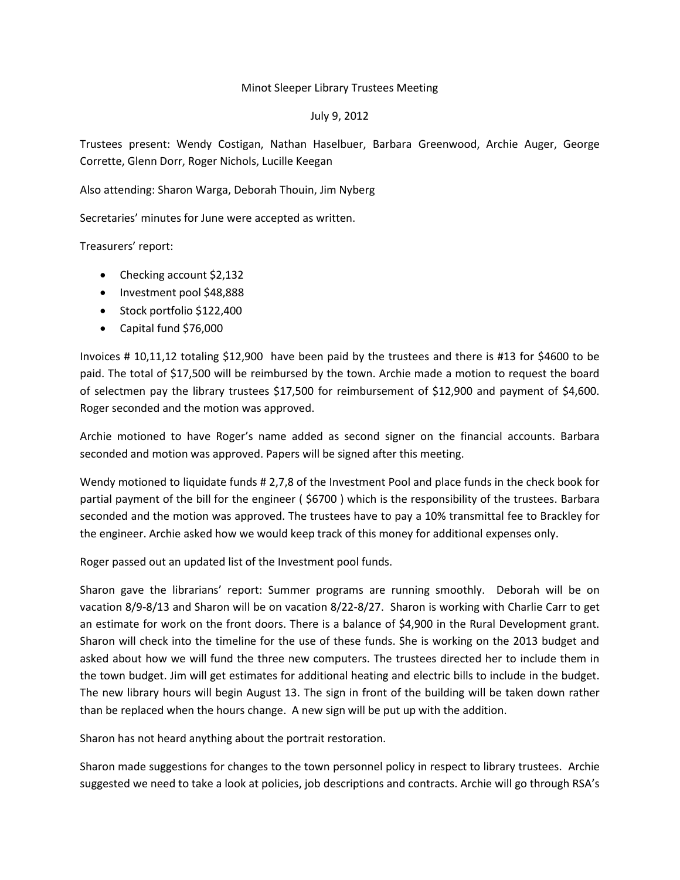## Minot Sleeper Library Trustees Meeting

## July 9, 2012

Trustees present: Wendy Costigan, Nathan Haselbuer, Barbara Greenwood, Archie Auger, George Corrette, Glenn Dorr, Roger Nichols, Lucille Keegan

Also attending: Sharon Warga, Deborah Thouin, Jim Nyberg

Secretaries' minutes for June were accepted as written.

Treasurers' report:

- Checking account \$2,132
- Investment pool \$48,888
- Stock portfolio \$122,400
- Capital fund \$76,000

Invoices # 10,11,12 totaling \$12,900 have been paid by the trustees and there is #13 for \$4600 to be paid. The total of \$17,500 will be reimbursed by the town. Archie made a motion to request the board of selectmen pay the library trustees \$17,500 for reimbursement of \$12,900 and payment of \$4,600. Roger seconded and the motion was approved.

Archie motioned to have Roger's name added as second signer on the financial accounts. Barbara seconded and motion was approved. Papers will be signed after this meeting.

Wendy motioned to liquidate funds # 2,7,8 of the Investment Pool and place funds in the check book for partial payment of the bill for the engineer ( \$6700 ) which is the responsibility of the trustees. Barbara seconded and the motion was approved. The trustees have to pay a 10% transmittal fee to Brackley for the engineer. Archie asked how we would keep track of this money for additional expenses only.

Roger passed out an updated list of the Investment pool funds.

Sharon gave the librarians' report: Summer programs are running smoothly. Deborah will be on vacation 8/9-8/13 and Sharon will be on vacation 8/22-8/27. Sharon is working with Charlie Carr to get an estimate for work on the front doors. There is a balance of \$4,900 in the Rural Development grant. Sharon will check into the timeline for the use of these funds. She is working on the 2013 budget and asked about how we will fund the three new computers. The trustees directed her to include them in the town budget. Jim will get estimates for additional heating and electric bills to include in the budget. The new library hours will begin August 13. The sign in front of the building will be taken down rather than be replaced when the hours change. A new sign will be put up with the addition.

Sharon has not heard anything about the portrait restoration.

Sharon made suggestions for changes to the town personnel policy in respect to library trustees. Archie suggested we need to take a look at policies, job descriptions and contracts. Archie will go through RSA's